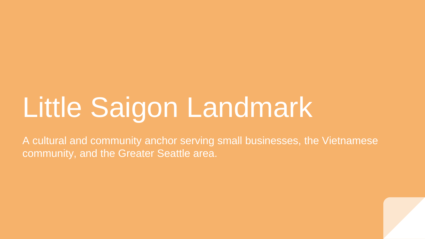# Little Saigon Landmark

A cultural and community anchor serving small businesses, the Vietnamese community, and the Greater Seattle area.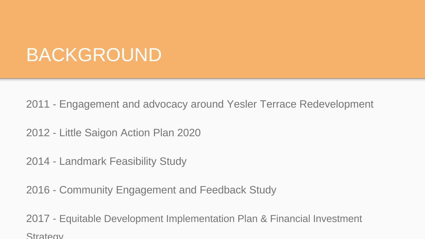#### BACKGROUND

2011 - Engagement and advocacy around Yesler Terrace Redevelopment

2012 - Little Saigon Action Plan 2020

2014 - Landmark Feasibility Study

2016 - Community Engagement and Feedback Study

2017 - Equitable Development Implementation Plan & Financial Investment Strategy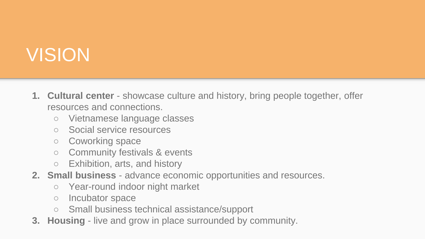### VISION

- **1. Cultural center** showcase culture and history, bring people together, offer resources and connections.
	- Vietnamese language classes
	- Social service resources
	- Coworking space
	- Community festivals & events
	- Exhibition, arts, and history
- **2. Small business**  advance economic opportunities and resources.
	- Year-round indoor night market
	- Incubator space
	- Small business technical assistance/support
- **3. Housing**  live and grow in place surrounded by community.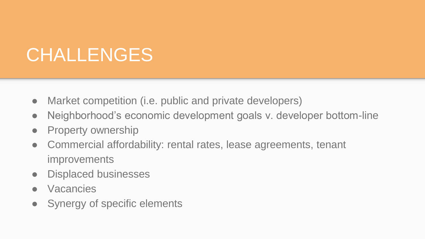## CHALLENGES

- Market competition (i.e. public and private developers)
- Neighborhood's economic development goals v. developer bottom-line
- Property ownership
- Commercial affordability: rental rates, lease agreements, tenant improvements
- Displaced businesses
- **Vacancies**
- Synergy of specific elements